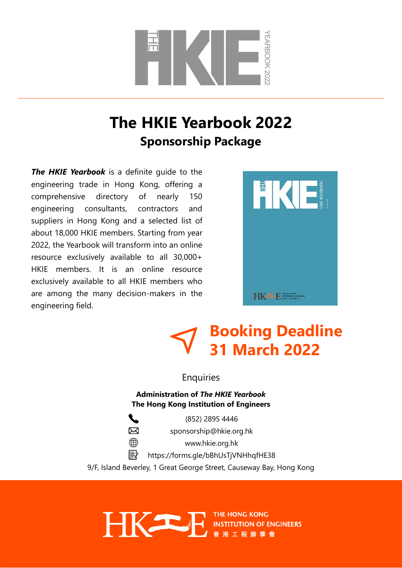

### **The HKIE Yearbook 2022 Sponsorship Package**

*The HKIE Yearbook* is a definite guide to the engineering trade in Hong Kong, offering a comprehensive directory of nearly 150 engineering consultants, contractors and suppliers in Hong Kong and a selected list of about 18,000 HKIE members. Starting from year 2022, the Yearbook will transform into an online resource exclusively available to all 30,000+ HKIE members. It is an online resource exclusively available to all HKIE members who are among the many decision-makers in the engineering field.



## **Booking Deadline 31 March 2022**

Enquiries

**Administration of** *The HKIE Yearbook* **The Hong Kong Institution of Engineers**

冈  $\bigoplus$ 

E

HKE

(852) 2895 4446

[sponsorship@hkie.org.hk](mailto:sponsorship@hkie.org.hk)

[www.hkie.org.hk](http://www.hkie.org.hk/)

<https://forms.gle/bBhUsTjVNHhqfHE38>

9/F, Island Beverley, 1 Great George Street, Causeway Bay, Hong Kong

THE HONG KONG **INSTITUTION OF ENGINEERS**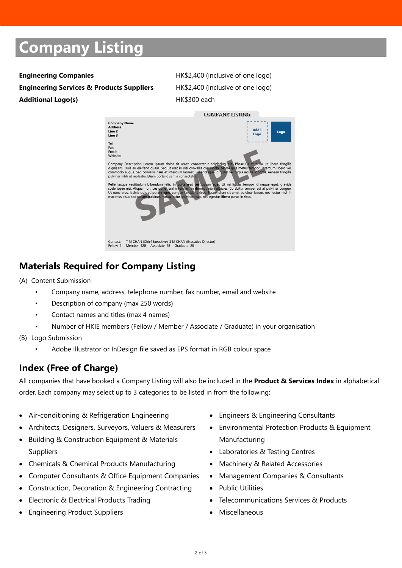# **Company Listing**

**Engineering Services & Products Suppliers** HK\$2,400 (inclusive of one logo) Additional Logo(s) **HK\$300** each

**Engineering Companies Engineering Companies Engineering Companies** 



### **Materials Required for Company Listing**

- (A) Content Submission
	- Company name, address, telephone number, fax number, email and website
	- Description of company (max 250 words)
	- Contact names and titles (max 4 names)
	- Number of HKIE members (Fellow / Member / Associate / Graduate) in your organisation
- (B) Logo Submission
	- Adobe Illustrator or InDesign file saved as EPS format in RGB colour space

### **Index (Free of Charge)**

All companies that have booked a Company Listing will also be included in the **Product & Services Index** in alphabetical order. Each company may select up to 3 categories to be listed in from the following:

- Air-conditioning & Refrigeration Engineering
- Architects, Designers, Surveyors, Valuers & Measurers
- Building & Construction Equipment & Materials Suppliers
- Chemicals & Chemical Products Manufacturing
- Computer Consultants & Office Equipment Companies
- Construction, Decoration & Engineering Contracting
- Electronic & Electrical Products Trading
- Engineering Product Suppliers
- Engineers & Engineering Consultants
- Environmental Protection Products & Equipment Manufacturing
- Laboratories & Testing Centres
- Machinery & Related Accessories
- Management Companies & Consultants
- Public Utilities
- Telecommunications Services & Products
- Miscellaneous